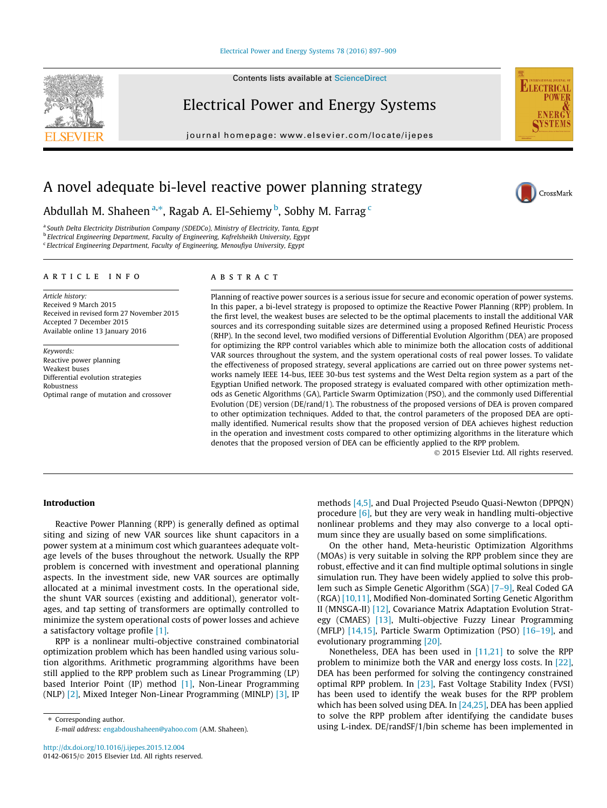#### [Electrical Power and Energy Systems 78 \(2016\) 897–909](http://dx.doi.org/10.1016/j.ijepes.2015.12.004)

# Electrical Power and Energy Systems

journal homepage: [www.elsevier.com/locate/ijepes](http://www.elsevier.com/locate/ijepes)



CrossMark

# A novel adequate bi-level reactive power planning strategy

Abdullah M. Shaheen <sup>a,</sup>\*, Ragab A. El-Sehiemy <sup>b</sup>, Sobhy M. Farrag <sup>c</sup>

<sup>a</sup> South Delta Electricity Distribution Company (SDEDCo), Ministry of Electricity, Tanta, Egypt <sup>b</sup> Electrical Engineering Department, Faculty of Engineering, Kafrelsheikh University, Egypt <sup>c</sup> Electrical Engineering Department, Faculty of Engineering, Menoufiya University, Egypt

#### article info

Article history: Received 9 March 2015 Received in revised form 27 November 2015 Accepted 7 December 2015 Available online 13 January 2016

Keywords: Reactive power planning Weakest buses Differential evolution strategies Robustness Optimal range of mutation and crossover

#### ABSTRACT

Planning of reactive power sources is a serious issue for secure and economic operation of power systems. In this paper, a bi-level strategy is proposed to optimize the Reactive Power Planning (RPP) problem. In the first level, the weakest buses are selected to be the optimal placements to install the additional VAR sources and its corresponding suitable sizes are determined using a proposed Refined Heuristic Process (RHP). In the second level, two modified versions of Differential Evolution Algorithm (DEA) are proposed for optimizing the RPP control variables which able to minimize both the allocation costs of additional VAR sources throughout the system, and the system operational costs of real power losses. To validate the effectiveness of proposed strategy, several applications are carried out on three power systems networks namely IEEE 14-bus, IEEE 30-bus test systems and the West Delta region system as a part of the Egyptian Unified network. The proposed strategy is evaluated compared with other optimization methods as Genetic Algorithms (GA), Particle Swarm Optimization (PSO), and the commonly used Differential Evolution (DE) version (DE/rand/1). The robustness of the proposed versions of DEA is proven compared to other optimization techniques. Added to that, the control parameters of the proposed DEA are optimally identified. Numerical results show that the proposed version of DEA achieves highest reduction in the operation and investment costs compared to other optimizing algorithms in the literature which denotes that the proposed version of DEA can be efficiently applied to the RPP problem.

2015 Elsevier Ltd. All rights reserved.

## Introduction

Reactive Power Planning (RPP) is generally defined as optimal siting and sizing of new VAR sources like shunt capacitors in a power system at a minimum cost which guarantees adequate voltage levels of the buses throughout the network. Usually the RPP problem is concerned with investment and operational planning aspects. In the investment side, new VAR sources are optimally allocated at a minimal investment costs. In the operational side, the shunt VAR sources (existing and additional), generator voltages, and tap setting of transformers are optimally controlled to minimize the system operational costs of power losses and achieve a satisfactory voltage profile [1].

RPP is a nonlinear multi-objective constrained combinatorial optimization problem which has been handled using various solution algorithms. Arithmetic programming algorithms have been still applied to the RPP problem such as Linear Programming (LP) based Interior Point (IP) method [1], Non-Linear Programming (NLP) [2], Mixed Integer Non-Linear Programming (MINLP) [3], IP

⇑ Corresponding author. E-mail address: [engabdoushaheen@yahoo.com](mailto:engabdoushaheen@yahoo.com) (A.M. Shaheen). methods [4,5], and Dual Projected Pseudo Quasi-Newton (DPPQN) procedure  $[6]$ , but they are very weak in handling multi-objective nonlinear problems and they may also converge to a local optimum since they are usually based on some simplifications.

On the other hand, Meta-heuristic Optimization Algorithms (MOAs) is very suitable in solving the RPP problem since they are robust, effective and it can find multiple optimal solutions in single simulation run. They have been widely applied to solve this problem such as Simple Genetic Algorithm (SGA) [7–9], Real Coded GA (RGA) [10,11], Modified Non-dominated Sorting Genetic Algorithm II (MNSGA-II) [12], Covariance Matrix Adaptation Evolution Strategy (CMAES) [13], Multi-objective Fuzzy Linear Programming (MFLP) [14,15], Particle Swarm Optimization (PSO) [16–19], and evolutionary programming [20].

Nonetheless, DEA has been used in [11,21] to solve the RPP problem to minimize both the VAR and energy loss costs. In [22], DEA has been performed for solving the contingency constrained optimal RPP problem. In [23], Fast Voltage Stability Index (FVSI) has been used to identify the weak buses for the RPP problem which has been solved using DEA. In [24,25], DEA has been applied to solve the RPP problem after identifying the candidate buses using L-index. DE/randSF/1/bin scheme has been implemented in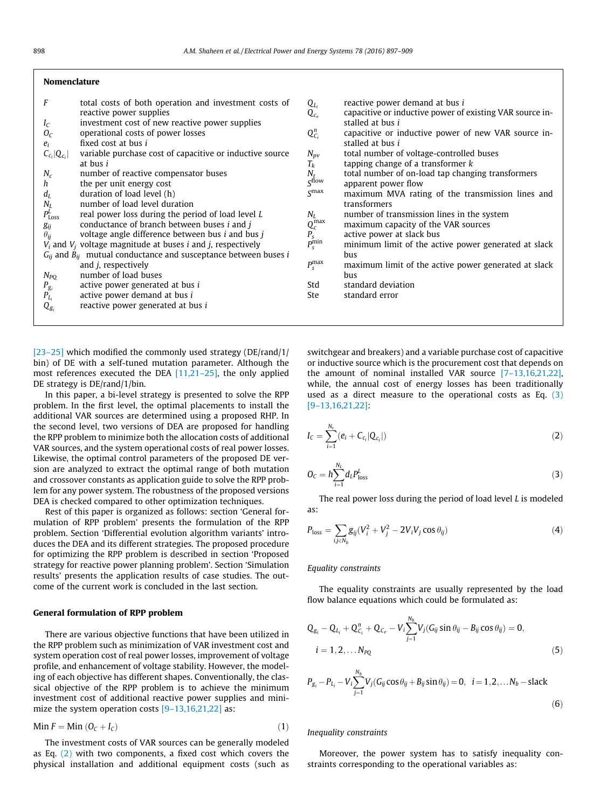### Nomenclature

| F                   | total costs of both operation and investment costs of                           | $Q_{L_i}$             | reactive power demand at bus i                           |
|---------------------|---------------------------------------------------------------------------------|-----------------------|----------------------------------------------------------|
|                     | reactive power supplies                                                         | $Q_{c_{e}}$           | capacitive or inductive power of existing VAR source in- |
| $I_{\rm C}$         | investment cost of new reactive power supplies                                  |                       | stalled at bus i                                         |
| O <sub>C</sub>      | operational costs of power losses                                               | $Q_{C_i}^n$           | capacitive or inductive power of new VAR source in-      |
| $e_i$               | fixed cost at bus i                                                             |                       | stalled at bus <i>i</i>                                  |
| $C_{c_i} Q_{c_i} $  | variable purchase cost of capacitive or inductive source                        | $N_{pv}$              | total number of voltage-controlled buses                 |
|                     | at bus <i>i</i>                                                                 | $T_k$                 | tapping change of a transformer $k$                      |
| $N_c$               | number of reactive compensator buses                                            | $N_t$                 | total number of on-load tap changing transformers        |
| h                   | the per unit energy cost                                                        | S <sup>flow</sup>     | apparent power flow                                      |
| $d_L$               | duration of load level (h)                                                      | $\varsigma$ max       | maximum MVA rating of the transmission lines and         |
| $N_L$               | number of load level duration                                                   |                       | transformers                                             |
| $P_{\text{Loss}}^L$ | real power loss during the period of load level L                               | $N_I$                 | number of transmission lines in the system               |
| $g_{ij}$            | conductance of branch between buses $i$ and $j$                                 | $Q_c^{\max}$          | maximum capacity of the VAR sources                      |
| $\theta_{ii}$       | voltage angle difference between bus <i>i</i> and bus <i>j</i>                  | $P_{\rm s}$           | active power at slack bus                                |
|                     | $V_i$ and $V_i$ voltage magnitude at buses i and i, respectively                | $P_{\rm s}^{\rm min}$ | minimum limit of the active power generated at slack     |
|                     | $G_{ij}$ and $B_{ij}$ mutual conductance and susceptance between buses <i>i</i> |                       | bus.                                                     |
|                     | and <i>i</i> , respectively                                                     | $P_{s}^{\max}$        | maximum limit of the active power generated at slack     |
| $N_{PO}$            | number of load buses                                                            |                       | bus                                                      |
| $P_{g_i}$           | active power generated at bus i                                                 | Std                   | standard deviation                                       |
| $P_{L_i}$           | active power demand at bus i                                                    | Ste                   | standard error                                           |
| $Q_{g_i}$           | reactive power generated at bus i                                               |                       |                                                          |
|                     |                                                                                 |                       |                                                          |

[23–25] which modified the commonly used strategy (DE/rand/1/ bin) of DE with a self-tuned mutation parameter. Although the most references executed the DEA [11,21–25], the only applied DE strategy is DE/rand/1/bin.

In this paper, a bi-level strategy is presented to solve the RPP problem. In the first level, the optimal placements to install the additional VAR sources are determined using a proposed RHP. In the second level, two versions of DEA are proposed for handling the RPP problem to minimize both the allocation costs of additional VAR sources, and the system operational costs of real power losses. Likewise, the optimal control parameters of the proposed DE version are analyzed to extract the optimal range of both mutation and crossover constants as application guide to solve the RPP problem for any power system. The robustness of the proposed versions DEA is checked compared to other optimization techniques.

Rest of this paper is organized as follows: section 'General formulation of RPP problem' presents the formulation of the RPP problem. Section 'Differential evolution algorithm variants' introduces the DEA and its different strategies. The proposed procedure for optimizing the RPP problem is described in section 'Proposed strategy for reactive power planning problem'. Section 'Simulation results' presents the application results of case studies. The outcome of the current work is concluded in the last section.

### General formulation of RPP problem

There are various objective functions that have been utilized in the RPP problem such as minimization of VAR investment cost and system operation cost of real power losses, improvement of voltage profile, and enhancement of voltage stability. However, the modeling of each objective has different shapes. Conventionally, the classical objective of the RPP problem is to achieve the minimum investment cost of additional reactive power supplies and minimize the system operation costs [9–13,16,21,22] as:

$$
\text{Min } F = \text{Min } (O_C + I_C) \tag{1}
$$

The investment costs of VAR sources can be generally modeled as Eq.  $(2)$  with two components, a fixed cost which covers the physical installation and additional equipment costs (such as switchgear and breakers) and a variable purchase cost of capacitive or inductive source which is the procurement cost that depends on the amount of nominal installed VAR source [7–13,16,21,22], while, the annual cost of energy losses has been traditionally used as a direct measure to the operational costs as Eq.  $(3)$ [9–13,16,21,22]:

$$
I_{C} = \sum_{i=1}^{N_{c}} (e_{i} + C_{c_{i}} |Q_{c_{i}}|)
$$
\n(2)

$$
O_C = h \sum_{i=1}^{N_L} d_L P_{\text{loss}}^L \tag{3}
$$

The real power loss during the period of load level L is modeled as:

$$
P_{\text{loss}} = \sum_{i,j \in N_b} g_{ij} (V_i^2 + V_j^2 - 2V_i V_j \cos \theta_{ij})
$$
\n<sup>(4)</sup>

### Equality constraints

The equality constraints are usually represented by the load flow balance equations which could be formulated as:

$$
Q_{g_i} - Q_{L_i} + Q_{C_i}^n + Q_{C_e} - V_i \sum_{j=1}^{N_b} V_j (G_{ij} \sin \theta_{ij} - B_{ij} \cos \theta_{ij}) = 0,
$$
  
\n
$$
i = 1, 2, \dots N_{PQ}
$$
 (5)

$$
P_{g_i} - P_{L_i} - V_i \sum_{j=1}^{N_b} V_j (G_{ij} \cos \theta_{ij} + B_{ij} \sin \theta_{ij}) = 0, \ \ i = 1, 2, \dots N_b - \text{slack}
$$
\n(6)

#### Inequality constraints

Moreover, the power system has to satisfy inequality constraints corresponding to the operational variables as: